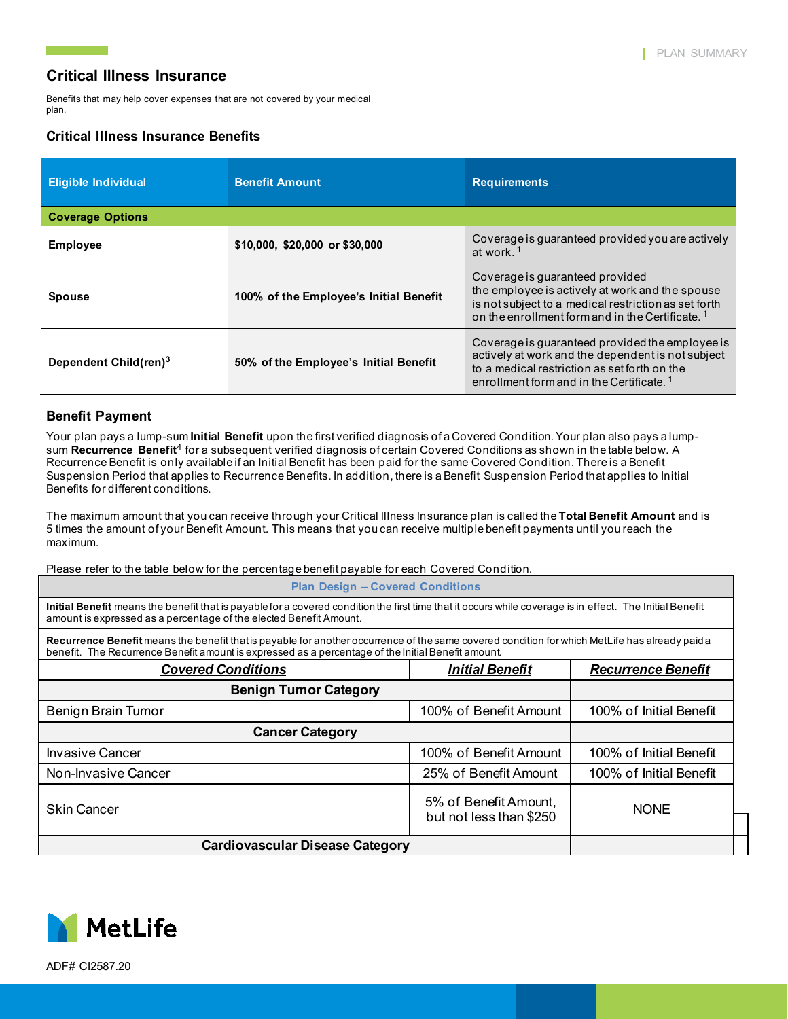Benefits that may help cover expenses that are not covered by your medical plan.

### **Critical Illness Insurance Benefits**

| <b>Eligible Individual</b>        | <b>Benefit Amount</b>                  | <b>Requirements</b>                                                                                                                                                                                          |  |  |  |
|-----------------------------------|----------------------------------------|--------------------------------------------------------------------------------------------------------------------------------------------------------------------------------------------------------------|--|--|--|
| <b>Coverage Options</b>           |                                        |                                                                                                                                                                                                              |  |  |  |
| <b>Employee</b>                   | \$10,000, \$20,000 or \$30,000         | Coverage is guaranteed provided you are actively<br>at work. <sup>1</sup>                                                                                                                                    |  |  |  |
| <b>Spouse</b>                     | 100% of the Employee's Initial Benefit | Coverage is guaranteed provided<br>the employee is actively at work and the spouse<br>is not subject to a medical restriction as set forth<br>on the enrollment form and in the Certificate. <sup>1</sup>    |  |  |  |
| Dependent Child(ren) <sup>3</sup> | 50% of the Employee's Initial Benefit  | Coverage is quaranteed provided the employee is<br>actively at work and the dependent is not subject<br>to a medical restriction as set forth on the<br>enrollment form and in the Certificate. <sup>1</sup> |  |  |  |

#### **Benefit Payment**

Your plan pays a lump-sum **Initial Benefit** upon the first verified diagnosis of a Covered Condition. Your plan also pays a lumpsum **Recurrence Benefit**<sup>4</sup> for a subsequent verified diagnosis of certain Covered Conditions as shown in the table below. A Recurrence Benefit is only available if an Initial Benefit has been paid for the same Covered Condition. There is a Benefit Suspension Period that applies to Recurrence Benefits. In addition, there is a Benefit Suspension Period that applies to Initial Benefits for different conditions.

The maximum amount that you can receive through your Critical Illness Insurance plan is called the **Total Benefit Amount** and is 5 times the amount of your Benefit Amount. This means that you can receive multiple benefit payments until you reach the maximum.

Please refer to the table below for the percentage benefit payable for each Covered Condition.

**Plan Design – Covered Conditions**

**Initial Benefit** means the benefit that is payable for a covered condition the first time that it occurs while coverage is in effect. The Initial Benefit amount is expressed as a percentage of the elected Benefit Amount.

Recurrence Benefit means the benefit that is payable for another occurrence of the same covered condition for which MetLife has already paid a benefit. The Recurrence Benefit amount is expressed as a percentage of the Initial Benefit amount.

| <b>Covered Conditions</b>              | <b>Initial Benefit</b>                           | <b>Recurrence Benefit</b> |
|----------------------------------------|--------------------------------------------------|---------------------------|
| <b>Benign Tumor Category</b>           |                                                  |                           |
| Benign Brain Tumor                     | 100% of Benefit Amount                           | 100% of Initial Benefit   |
| <b>Cancer Category</b>                 |                                                  |                           |
| <b>Invasive Cancer</b>                 | 100% of Benefit Amount                           | 100% of Initial Benefit   |
| Non-Invasive Cancer                    | 25% of Benefit Amount                            | 100% of Initial Benefit   |
| <b>Skin Cancer</b>                     | 5% of Benefit Amount,<br>but not less than \$250 | <b>NONE</b>               |
| <b>Cardiovascular Disease Category</b> |                                                  |                           |



ADF# CI2587.20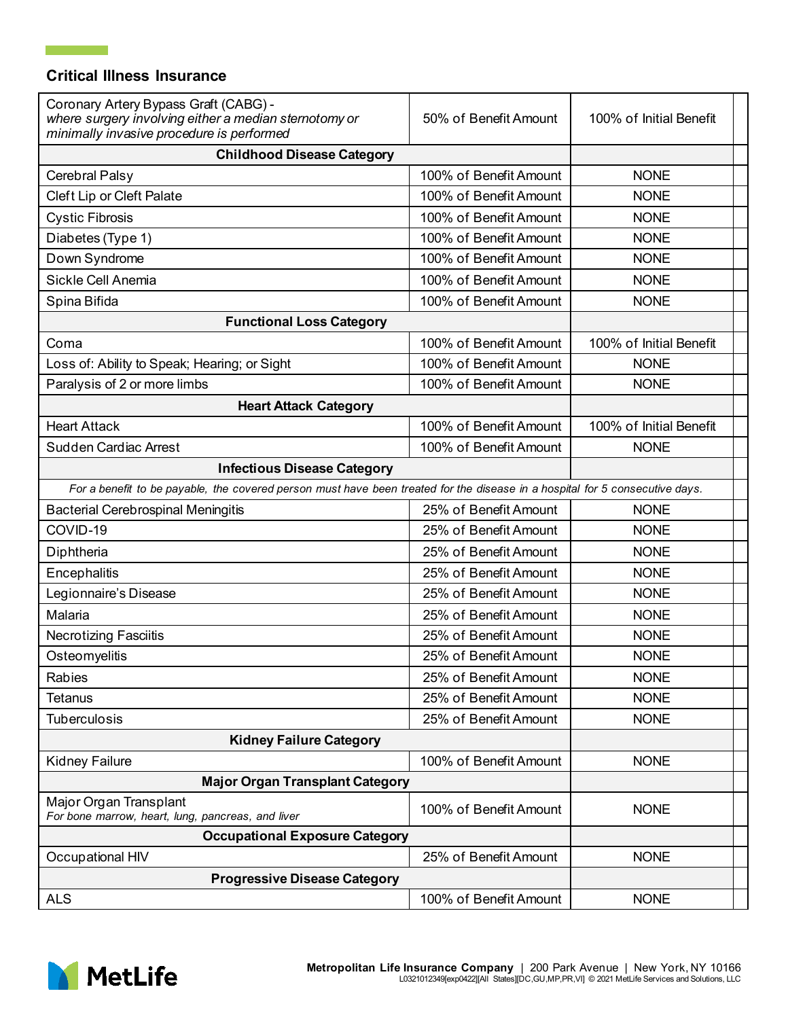$\mathbb{R}^n \times \mathbb{R}^n$ 

| Coronary Artery Bypass Graft (CABG) -<br>where surgery involving either a median sternotomy or<br>minimally invasive procedure is performed | 50% of Benefit Amount  | 100% of Initial Benefit |
|---------------------------------------------------------------------------------------------------------------------------------------------|------------------------|-------------------------|
| <b>Childhood Disease Category</b>                                                                                                           |                        |                         |
| Cerebral Palsy                                                                                                                              | 100% of Benefit Amount | <b>NONE</b>             |
| Cleft Lip or Cleft Palate                                                                                                                   | 100% of Benefit Amount | <b>NONE</b>             |
| <b>Cystic Fibrosis</b>                                                                                                                      | 100% of Benefit Amount | <b>NONE</b>             |
| Diabetes (Type 1)                                                                                                                           | 100% of Benefit Amount | <b>NONE</b>             |
| Down Syndrome                                                                                                                               | 100% of Benefit Amount | <b>NONE</b>             |
| Sickle Cell Anemia                                                                                                                          | 100% of Benefit Amount | <b>NONE</b>             |
| Spina Bifida                                                                                                                                | 100% of Benefit Amount | <b>NONE</b>             |
| <b>Functional Loss Category</b>                                                                                                             |                        |                         |
| Coma                                                                                                                                        | 100% of Benefit Amount | 100% of Initial Benefit |
| Loss of: Ability to Speak; Hearing; or Sight                                                                                                | 100% of Benefit Amount | <b>NONE</b>             |
| Paralysis of 2 or more limbs                                                                                                                | 100% of Benefit Amount | <b>NONE</b>             |
| <b>Heart Attack Category</b>                                                                                                                |                        |                         |
| <b>Heart Attack</b>                                                                                                                         | 100% of Benefit Amount | 100% of Initial Benefit |
| <b>Sudden Cardiac Arrest</b>                                                                                                                | 100% of Benefit Amount | <b>NONE</b>             |
| <b>Infectious Disease Category</b>                                                                                                          |                        |                         |
| For a benefit to be payable, the covered person must have been treated for the disease in a hospital for 5 consecutive days.                |                        |                         |
| <b>Bacterial Cerebrospinal Meningitis</b>                                                                                                   | <b>NONE</b>            |                         |
| COVID-19                                                                                                                                    | 25% of Benefit Amount  | <b>NONE</b>             |
| Diphtheria                                                                                                                                  | 25% of Benefit Amount  | <b>NONE</b>             |
| Encephalitis                                                                                                                                | 25% of Benefit Amount  | <b>NONE</b>             |
| Legionnaire's Disease                                                                                                                       | 25% of Benefit Amount  | <b>NONE</b>             |
| Malaria                                                                                                                                     | 25% of Benefit Amount  | <b>NONE</b>             |
| <b>Necrotizing Fasciitis</b>                                                                                                                | 25% of Benefit Amount  | <b>NONE</b>             |
| Osteomyelitis                                                                                                                               | 25% of Benefit Amount  | <b>NONE</b>             |
| Rabies                                                                                                                                      | 25% of Benefit Amount  | <b>NONE</b>             |
| <b>Tetanus</b>                                                                                                                              | 25% of Benefit Amount  | <b>NONE</b>             |
| Tuberculosis                                                                                                                                | 25% of Benefit Amount  | <b>NONE</b>             |
| <b>Kidney Failure Category</b>                                                                                                              |                        |                         |
| <b>Kidney Failure</b>                                                                                                                       | 100% of Benefit Amount | <b>NONE</b>             |
| <b>Major Organ Transplant Category</b>                                                                                                      |                        |                         |
| Major Organ Transplant<br>For bone marrow, heart, lung, pancreas, and liver                                                                 | 100% of Benefit Amount | <b>NONE</b>             |
| <b>Occupational Exposure Category</b>                                                                                                       |                        |                         |
| Occupational HIV                                                                                                                            | 25% of Benefit Amount  | <b>NONE</b>             |
| <b>Progressive Disease Category</b>                                                                                                         |                        |                         |
| <b>ALS</b>                                                                                                                                  | 100% of Benefit Amount | <b>NONE</b>             |

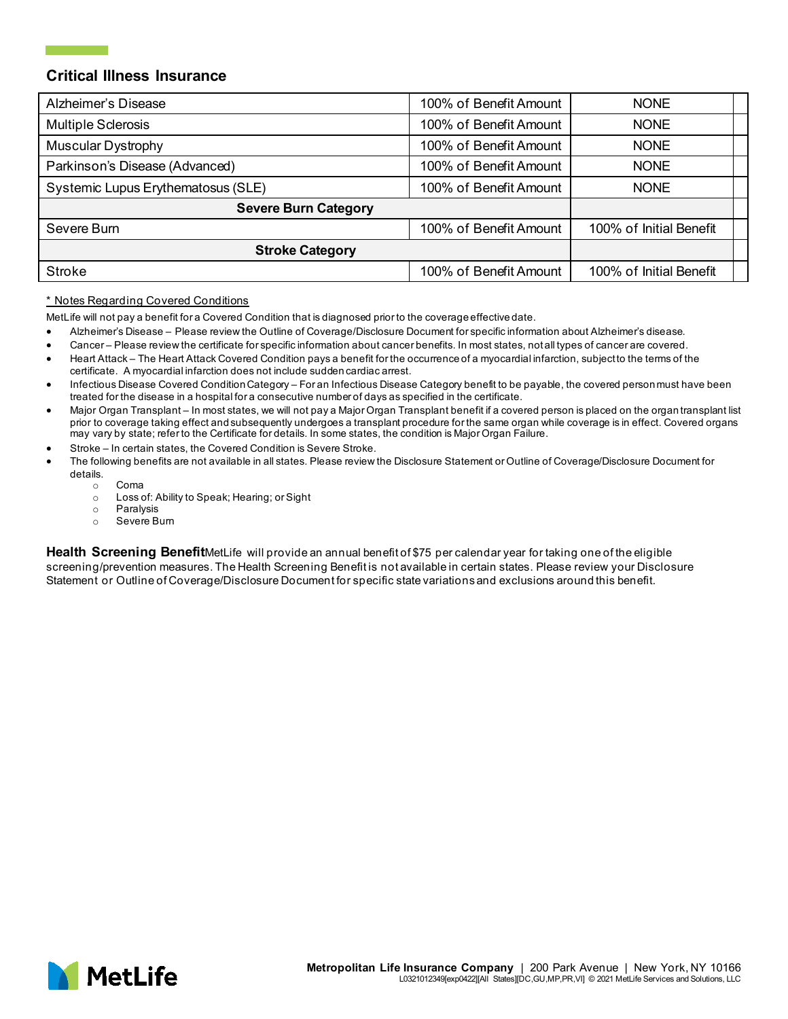| Alzheimer's Disease                | 100% of Benefit Amount | <b>NONE</b>             |
|------------------------------------|------------------------|-------------------------|
| Multiple Sclerosis                 | 100% of Benefit Amount | <b>NONE</b>             |
| <b>Muscular Dystrophy</b>          | 100% of Benefit Amount | <b>NONE</b>             |
| Parkinson's Disease (Advanced)     | 100% of Benefit Amount | <b>NONE</b>             |
| Systemic Lupus Erythematosus (SLE) | 100% of Benefit Amount | <b>NONE</b>             |
| <b>Severe Burn Category</b>        |                        |                         |
| Severe Burn                        | 100% of Benefit Amount | 100% of Initial Benefit |
| <b>Stroke Category</b>             |                        |                         |
| <b>Stroke</b>                      | 100% of Benefit Amount | 100% of Initial Benefit |

#### \* Notes Regarding Covered Conditions

MetLife will not pay a benefit for a Covered Condition that is diagnosed prior to the coverage effective date.

- Alzheimer's Disease Please review the Outline of Coverage/Disclosure Document for specific information about Alzheimer's disease.
- Cancer Please review the certificate for specific information about cancer benefits. In most states, not all types of cancer are covered.
- Heart Attack The Heart Attack Covered Condition pays a benefit for the occurrence of a myocardial infarction, subject to the terms of the certificate. A myocardial infarction does not include sudden cardiac arrest.
- Infectious Disease Covered Condition Category For an Infectious Disease Category benefit to be payable, the covered person must have been treated for the disease in a hospital for a consecutive number of days as specified in the certificate.
- Major Organ Transplant In most states, we will not pay a Major Organ Transplant benefit if a covered person is placed on the organ transplant list prior to coverage taking effect and subsequently undergoes a transplant procedure for the same organ while coverage is in effect. Covered organs may vary by state; refer to the Certificate for details. In some states, the condition is Major Organ Failure.
- Stroke In certain states, the Covered Condition is Severe Stroke.
- The following benefits are not available in all states. Please review the Disclosure Statement or Outline of Coverage/Disclosure Document for details.
	- Coma
	- o Loss of: Ability to Speak; Hearing; or Sight
	- o Paralysis<br>o Severe B
	- Severe Burn

**Health Screening Benefit**MetLife will provide an annual benefit of \$75 per calendar year for taking one of the eligible screening/prevention measures. The Health Screening Benefit is not available in certain states. Please review your Disclosure Statement or Outline of Coverage/Disclosure Document for specific state variations and exclusions around this benefit.

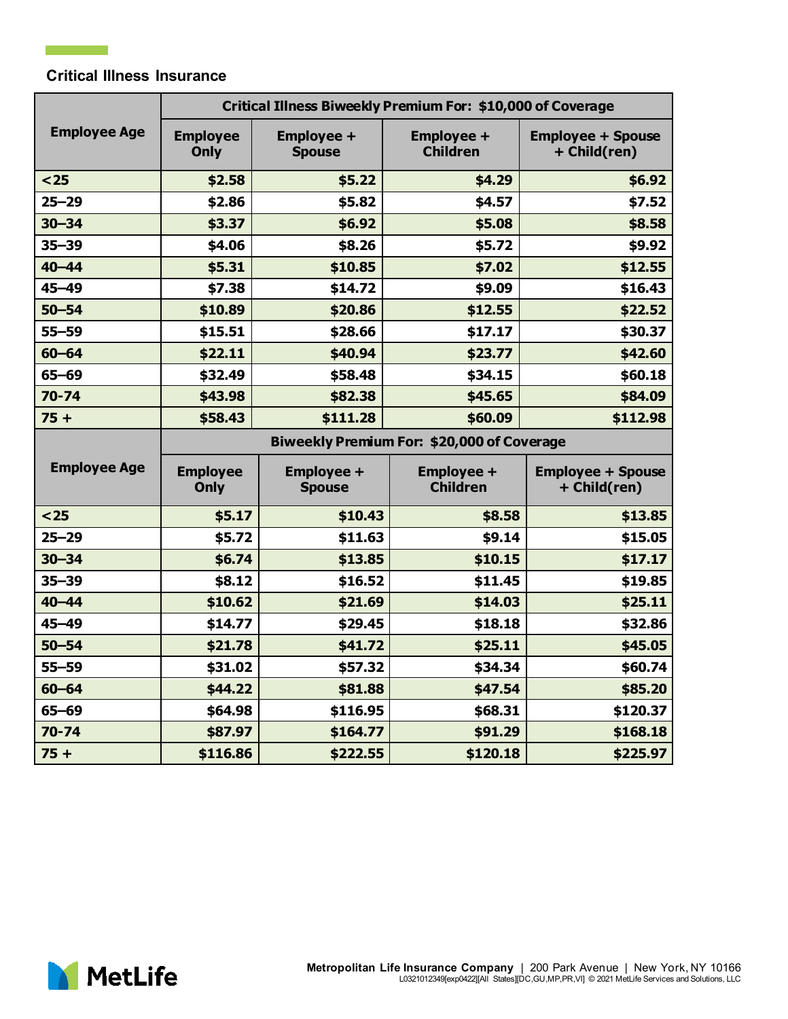$\mathcal{L}(\mathcal{L})$  and  $\mathcal{L}(\mathcal{L})$ 

|                     | <b>Critical Illness Biweekly Premium For: \$10,000 of Coverage</b> |                                    |                                      |                                          |
|---------------------|--------------------------------------------------------------------|------------------------------------|--------------------------------------|------------------------------------------|
| <b>Employee Age</b> | <b>Employee</b><br>Only                                            | <b>Employee +</b><br><b>Spouse</b> | <b>Employee +</b><br><b>Children</b> | <b>Employee + Spouse</b><br>+ Child(ren) |
| $25$                | \$2.58                                                             | \$5.22                             | \$4.29                               | \$6.92                                   |
| $25 - 29$           | \$2.86                                                             | \$5.82                             | \$4.57                               | \$7.52                                   |
| $30 - 34$           | \$3.37                                                             | \$6.92                             | \$5.08                               | \$8.58                                   |
| $35 - 39$           | \$4.06                                                             | \$8.26                             | \$5.72                               | \$9.92                                   |
| $40 - 44$           | \$5.31                                                             | \$10.85                            | \$7.02                               | \$12.55                                  |
| $45 - 49$           | \$7.38                                                             | \$14.72                            | \$9.09                               | \$16.43                                  |
| $50 - 54$           | \$10.89                                                            | \$20.86                            | \$12.55                              | \$22.52                                  |
| $55 - 59$           | \$15.51                                                            | \$28.66                            | \$17.17                              | \$30.37                                  |
| $60 - 64$           | \$22.11                                                            | \$40.94                            | \$23.77                              | \$42.60                                  |
| $65 - 69$           | \$32.49                                                            | \$58.48                            | \$34.15                              | \$60.18                                  |
| $70 - 74$           | \$43.98                                                            | \$82.38                            | \$45.65                              | \$84.09                                  |
| $75 +$              | \$58.43                                                            | \$111.28                           | \$60.09                              | \$112.98                                 |
|                     | Biweekly Premium For: \$20,000 of Coverage                         |                                    |                                      |                                          |
|                     |                                                                    |                                    |                                      |                                          |
| <b>Employee Age</b> | <b>Employee</b><br>Only                                            | <b>Employee +</b><br><b>Spouse</b> | <b>Employee +</b><br><b>Children</b> | <b>Employee + Spouse</b><br>+ Child(ren) |
| $25$                | \$5.17                                                             | \$10.43                            | \$8.58                               | \$13.85                                  |
| $25 - 29$           | \$5.72                                                             | \$11.63                            | \$9.14                               | \$15.05                                  |
| $30 - 34$           | \$6.74                                                             | \$13.85                            | \$10.15                              | \$17.17                                  |
| $35 - 39$           | \$8.12                                                             | \$16.52                            | \$11.45                              | \$19.85                                  |
| $40 - 44$           | \$10.62                                                            | \$21.69                            | \$14.03                              | \$25.11                                  |
| $45 - 49$           | \$14.77                                                            | \$29.45                            | \$18.18                              | \$32.86                                  |
| $50 - 54$           | \$21.78                                                            | \$41.72                            | \$25.11                              | \$45.05                                  |
| $55 - 59$           | \$31.02                                                            | \$57.32                            | \$34.34                              | \$60.74                                  |
| $60 - 64$           | \$44.22                                                            | \$81.88                            | \$47.54                              | \$85.20                                  |
| $65 - 69$           | \$64.98                                                            | \$116.95                           | \$68.31                              | \$120.37                                 |
| $70 - 74$           | \$87.97                                                            | \$164.77                           | \$91.29                              | \$168.18                                 |

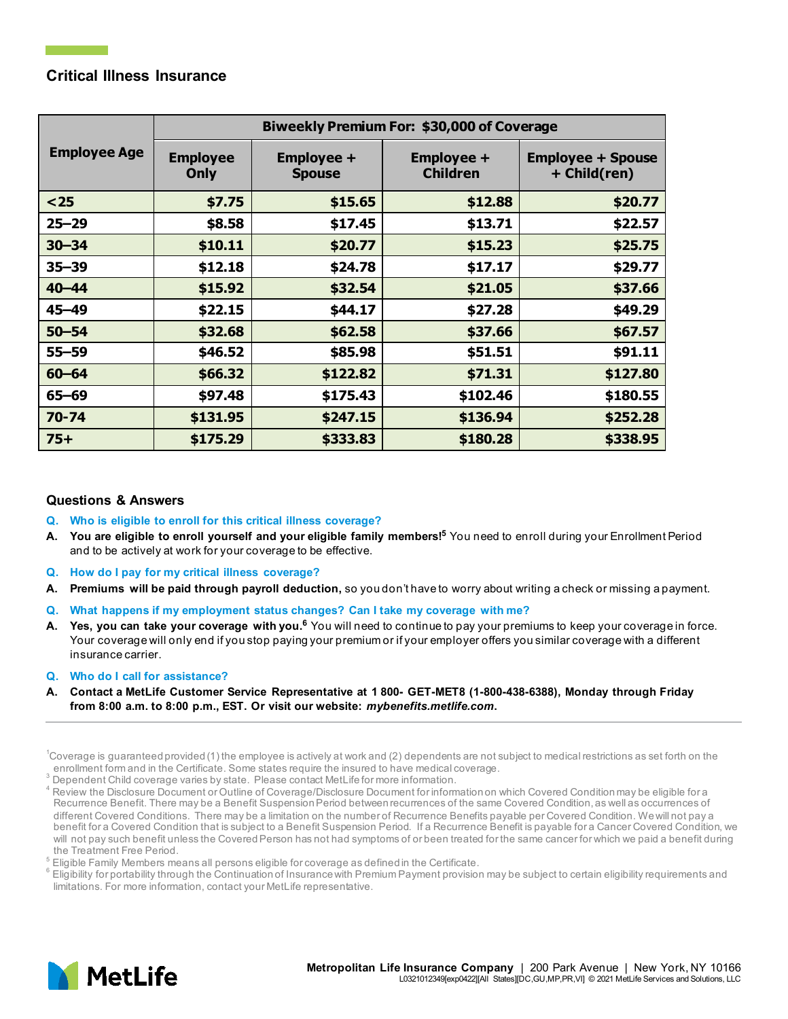|                     | Biweekly Premium For: \$30,000 of Coverage |                                    |                                      |                                          |
|---------------------|--------------------------------------------|------------------------------------|--------------------------------------|------------------------------------------|
| <b>Employee Age</b> | <b>Employee</b><br>Only                    | <b>Employee +</b><br><b>Spouse</b> | <b>Employee +</b><br><b>Children</b> | <b>Employee + Spouse</b><br>+ Child(ren) |
| $25$                | \$7.75                                     | \$15.65                            | \$12.88                              | \$20.77                                  |
| $25 - 29$           | \$8.58                                     | \$17.45                            | \$13.71                              | \$22.57                                  |
| $30 - 34$           | \$10.11                                    | \$20.77                            | \$15.23                              | \$25.75                                  |
| $35 - 39$           | \$12.18                                    | \$24.78                            | \$17.17                              | \$29.77                                  |
| $40 - 44$           | \$15.92                                    | \$32.54                            | \$21.05                              | \$37.66                                  |
| 45-49               | \$22.15                                    | \$44.17                            | \$27.28                              | \$49.29                                  |
| $50 - 54$           | \$32.68                                    | \$62.58                            | \$37.66                              | \$67.57                                  |
| $55 - 59$           | \$46.52                                    | \$85.98                            | \$51.51                              | \$91.11                                  |
| $60 - 64$           | \$66.32                                    | \$122.82                           | \$71.31                              | \$127.80                                 |
| $65 - 69$           | \$97.48                                    | \$175.43                           | \$102.46                             | \$180.55                                 |
| $70 - 74$           | \$131.95                                   | \$247.15                           | \$136.94                             | \$252.28                                 |
| $75+$               | \$175.29                                   | \$333.83                           | \$180.28                             | \$338.95                                 |

### **Questions & Answers**

- **Q. Who is eligible to enroll for this critical illness coverage?**
- **A. You are eligible to enroll yourself and your eligible family members!5** You need to enroll during your Enrollment Period and to be actively at work for your coverage to be effective.
- **Q. How do I pay for my critical illness coverage?**
- **A. Premiums will be paid through payroll deduction,** so you don't have to worry about writing a check or missing a payment.
- **Q. What happens if my employment status changes? Can I take my coverage with me?**
- **A. Yes, you can take your coverage with you.<sup>6</sup>** You will need to continue to pay your premiums to keep your coverage in force. Your coverage will only end if you stop paying your premium or if your employer offers you similar coverage with a different insurance carrier.
- **Q. Who do I call for assistance?**
- **A. Contact a MetLife Customer Service Representative at 1 800- GET-MET8 (1-800-438-6388), Monday through Friday from 8:00 a.m. to 8:00 p.m., EST. Or visit our website:** *mybenefits.metlife.com***.**



<sup>1</sup> Coverage is guaranteed provided (1) the employee is actively at work and (2) dependents are not subject to medical restrictions as set forth on the enrollment form and in the Certificate. Some states require the insured to have medical coverage.  $^3$  Dependent Child coverage varies by state. Please contact MetLife for more information.

<sup>&</sup>lt;sup>4</sup> Review the Disclosure Document or Outline of Coverage/Disclosure Document for information on which Covered Condition may be eligible for a Recurrence Benefit. There may be a Benefit Suspension Period between recurrences of the same Covered Condition, as well as occurrences of different Covered Conditions. There may be a limitation on the number of Recurrence Benefits payable per Covered Condition. We will not pay a benefit for a Covered Condition that is subject to a Benefit Suspension Period. If a Recurrence Benefit is payable for a Cancer Covered Condition, we will not pay such benefit unless the Covered Person has not had symptoms of or been treated for the same cancer for which we paid a benefit during the Treatment Free Period.<br><sup>5</sup> Eligible Family Members means all persons eligible for coverage as defined in the Certificate.

<sup>&</sup>lt;sup>6</sup> Eligibility for portability through the Continuation of Insurance with Premium Payment provision may be subject to certain eligibility requirements and limitations. For more information, contact your MetLife representative.